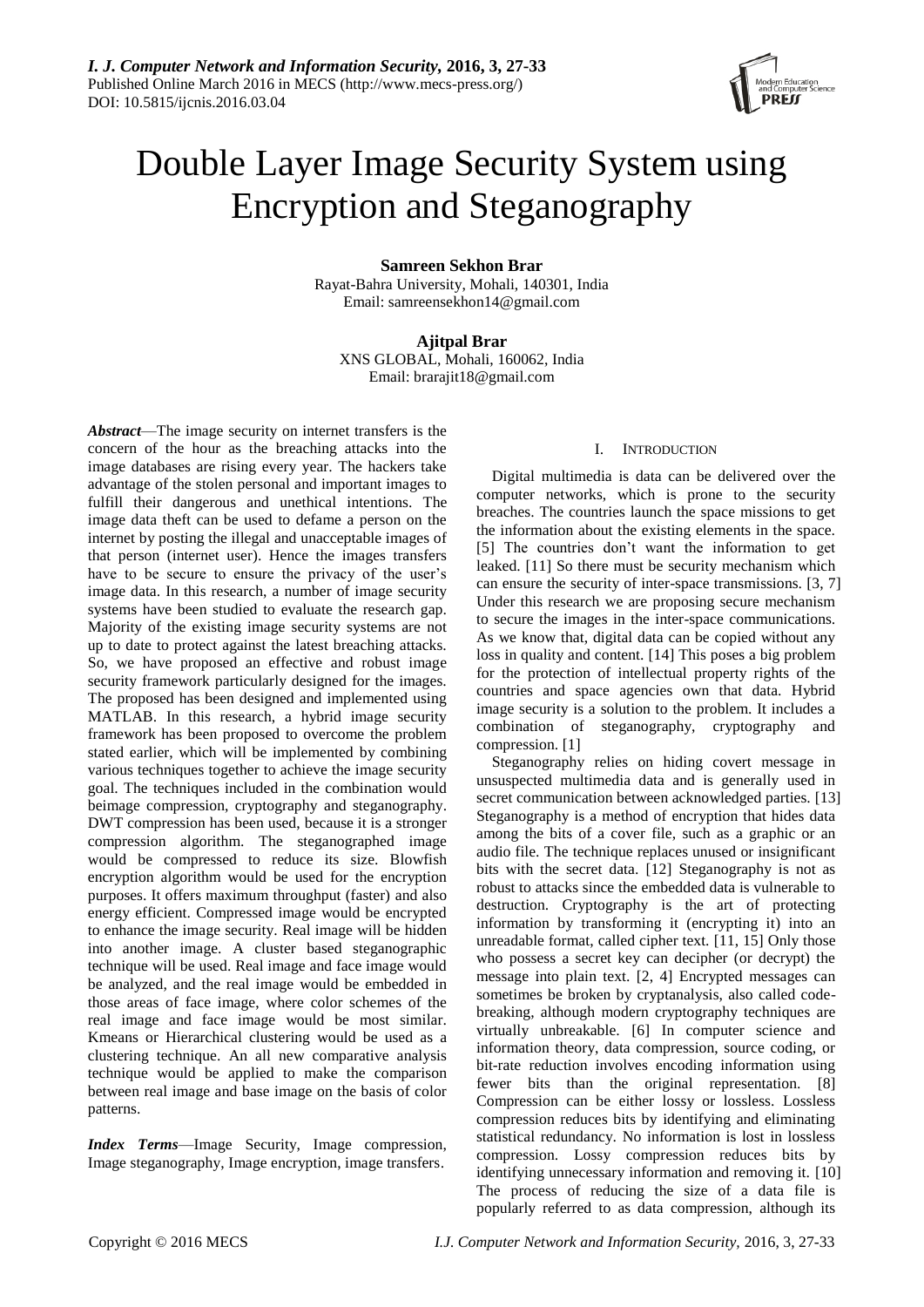

# Double Layer Image Security System using Encryption and Steganography

**Samreen Sekhon Brar**

Rayat-Bahra University, Mohali, 140301, India Email: samreensekhon14@gmail.com

**Ajitpal Brar**

XNS GLOBAL, Mohali, 160062, India Email: brarajit18@gmail.com

*Abstract*—The image security on internet transfers is the concern of the hour as the breaching attacks into the image databases are rising every year. The hackers take advantage of the stolen personal and important images to fulfill their dangerous and unethical intentions. The image data theft can be used to defame a person on the internet by posting the illegal and unacceptable images of that person (internet user). Hence the images transfers have to be secure to ensure the privacy of the user's image data. In this research, a number of image security systems have been studied to evaluate the research gap. Majority of the existing image security systems are not up to date to protect against the latest breaching attacks. So, we have proposed an effective and robust image security framework particularly designed for the images. The proposed has been designed and implemented using MATLAB. In this research, a hybrid image security framework has been proposed to overcome the problem stated earlier, which will be implemented by combining various techniques together to achieve the image security goal. The techniques included in the combination would beimage compression, cryptography and steganography. DWT compression has been used, because it is a stronger compression algorithm. The steganographed image would be compressed to reduce its size. Blowfish encryption algorithm would be used for the encryption purposes. It offers maximum throughput (faster) and also energy efficient. Compressed image would be encrypted to enhance the image security. Real image will be hidden into another image. A cluster based steganographic technique will be used. Real image and face image would be analyzed, and the real image would be embedded in those areas of face image, where color schemes of the real image and face image would be most similar. Kmeans or Hierarchical clustering would be used as a clustering technique. An all new comparative analysis technique would be applied to make the comparison between real image and base image on the basis of color patterns.

*Index Terms*—Image Security, Image compression, Image steganography, Image encryption, image transfers.

# I. INTRODUCTION

Digital multimedia is data can be delivered over the computer networks, which is prone to the security breaches. The countries launch the space missions to get the information about the existing elements in the space. [5] The countries don't want the information to get leaked. [11] So there must be security mechanism which can ensure the security of inter-space transmissions. [3, 7] Under this research we are proposing secure mechanism to secure the images in the inter-space communications. As we know that, digital data can be copied without any loss in quality and content. [14] This poses a big problem for the protection of intellectual property rights of the countries and space agencies own that data. Hybrid image security is a solution to the problem. It includes a combination of steganography, cryptography and compression. [1]

Steganography relies on hiding covert message in unsuspected multimedia data and is generally used in secret communication between acknowledged parties. [13] Steganography is a method of encryption that hides data among the bits of a cover file, such as a graphic or an audio file. The technique replaces unused or insignificant bits with the secret data. [12] Steganography is not as robust to attacks since the embedded data is vulnerable to destruction. Cryptography is the art of protecting information by transforming it (encrypting it) into an unreadable format, called cipher text. [11, 15] Only those who possess a secret key can decipher (or decrypt) the message into plain text. [2, 4] Encrypted messages can sometimes be broken by cryptanalysis, also called codebreaking, although modern cryptography techniques are virtually unbreakable. [6] In computer science and information theory, data compression, source coding, or bit-rate reduction involves encoding information using fewer bits than the original representation. [8] Compression can be either lossy or lossless. Lossless compression reduces bits by identifying and eliminating statistical redundancy. No information is lost in lossless compression. Lossy compression reduces bits by identifying unnecessary information and removing it. [10] The process of reducing the size of a data file is popularly referred to as data compression, although its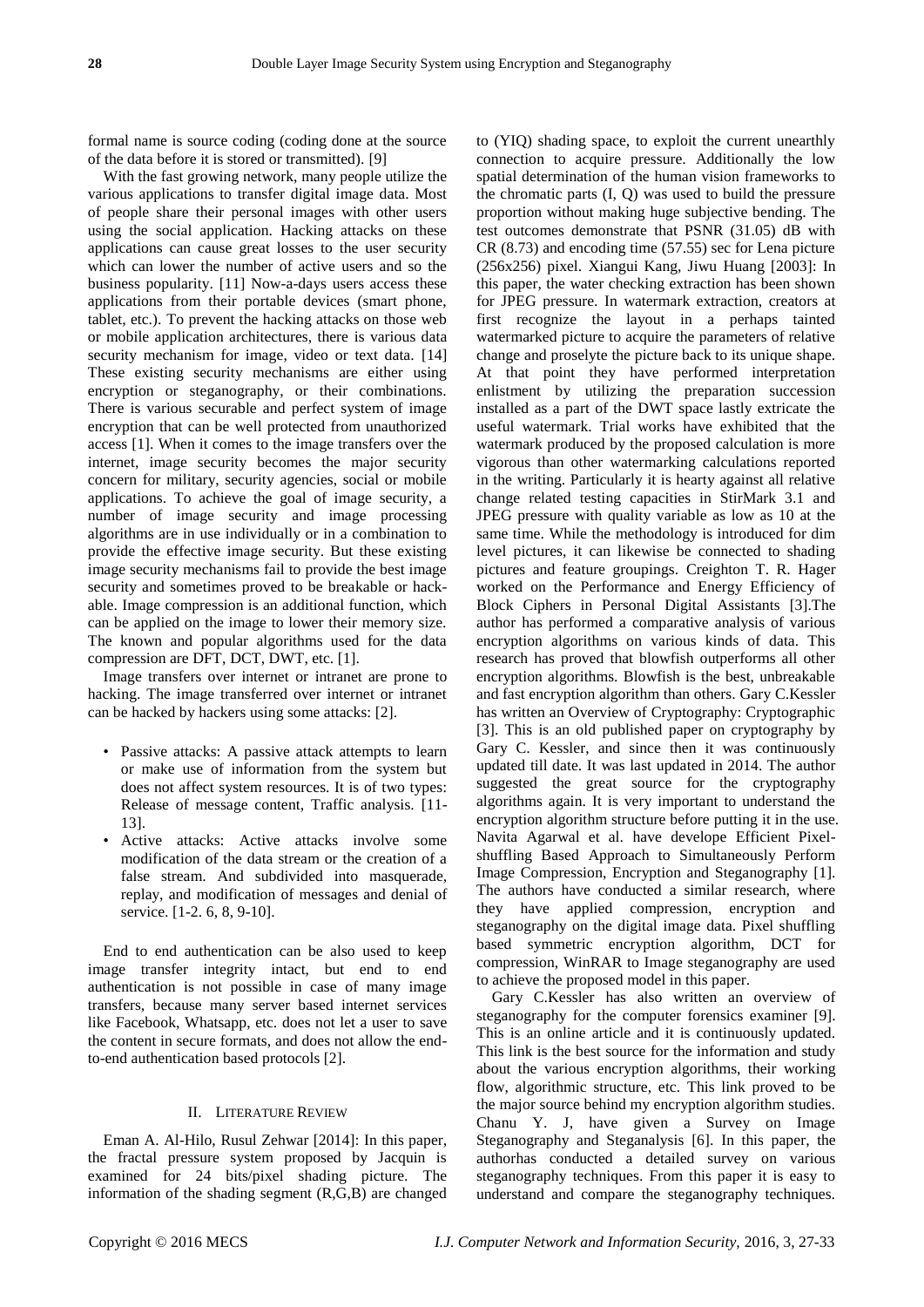formal name is source coding (coding done at the source of the data before it is stored or transmitted). [9]

With the fast growing network, many people utilize the various applications to transfer digital image data. Most of people share their personal images with other users using the social application. Hacking attacks on these applications can cause great losses to the user security which can lower the number of active users and so the business popularity. [11] Now-a-days users access these applications from their portable devices (smart phone, tablet, etc.). To prevent the hacking attacks on those web or mobile application architectures, there is various data security mechanism for image, video or text data. [14] These existing security mechanisms are either using encryption or steganography, or their combinations. There is various securable and perfect system of image encryption that can be well protected from unauthorized access [1]. When it comes to the image transfers over the internet, image security becomes the major security concern for military, security agencies, social or mobile applications. To achieve the goal of image security, a number of image security and image processing algorithms are in use individually or in a combination to provide the effective image security. But these existing image security mechanisms fail to provide the best image security and sometimes proved to be breakable or hackable. Image compression is an additional function, which can be applied on the image to lower their memory size. The known and popular algorithms used for the data compression are DFT, DCT, DWT, etc. [1].

Image transfers over internet or intranet are prone to hacking. The image transferred over internet or intranet can be hacked by hackers using some attacks: [2].

- Passive attacks: A passive attack attempts to learn or make use of information from the system but does not affect system resources. It is of two types: Release of message content, Traffic analysis. [11- 13].
- Active attacks: Active attacks involve some modification of the data stream or the creation of a false stream. And subdivided into masquerade, replay, and modification of messages and denial of service. [1-2. 6, 8, 9-10].

End to end authentication can be also used to keep image transfer integrity intact, but end to end authentication is not possible in case of many image transfers, because many server based internet services like Facebook, Whatsapp, etc. does not let a user to save the content in secure formats, and does not allow the endto-end authentication based protocols [2].

# II. LITERATURE REVIEW

Eman A. Al-Hilo, Rusul Zehwar [2014]: In this paper, the fractal pressure system proposed by Jacquin is examined for 24 bits/pixel shading picture. The information of the shading segment (R,G,B) are changed

to (YIQ) shading space, to exploit the current unearthly connection to acquire pressure. Additionally the low spatial determination of the human vision frameworks to the chromatic parts (I, Q) was used to build the pressure proportion without making huge subjective bending. The test outcomes demonstrate that PSNR (31.05) dB with CR (8.73) and encoding time (57.55) sec for Lena picture (256x256) pixel. Xiangui Kang, Jiwu Huang [2003]: In this paper, the water checking extraction has been shown for JPEG pressure. In watermark extraction, creators at first recognize the layout in a perhaps tainted watermarked picture to acquire the parameters of relative change and proselyte the picture back to its unique shape. At that point they have performed interpretation enlistment by utilizing the preparation succession installed as a part of the DWT space lastly extricate the useful watermark. Trial works have exhibited that the watermark produced by the proposed calculation is more vigorous than other watermarking calculations reported in the writing. Particularly it is hearty against all relative change related testing capacities in StirMark 3.1 and JPEG pressure with quality variable as low as 10 at the same time. While the methodology is introduced for dim level pictures, it can likewise be connected to shading pictures and feature groupings. Creighton T. R. Hager worked on the Performance and Energy Efficiency of Block Ciphers in Personal Digital Assistants [3].The author has performed a comparative analysis of various encryption algorithms on various kinds of data. This research has proved that blowfish outperforms all other encryption algorithms. Blowfish is the best, unbreakable and fast encryption algorithm than others. Gary C.Kessler has written an Overview of Cryptography: Cryptographic [3]. This is an old published paper on cryptography by Gary C. Kessler, and since then it was continuously updated till date. It was last updated in 2014. The author suggested the great source for the cryptography algorithms again. It is very important to understand the encryption algorithm structure before putting it in the use. Navita Agarwal et al. have develope Efficient Pixelshuffling Based Approach to Simultaneously Perform Image Compression, Encryption and Steganography [1]. The authors have conducted a similar research, where they have applied compression, encryption and steganography on the digital image data. Pixel shuffling based symmetric encryption algorithm, DCT for compression, WinRAR to Image steganography are used to achieve the proposed model in this paper.

Gary C.Kessler has also written an overview of steganography for the computer forensics examiner [9]. This is an online article and it is continuously updated. This link is the best source for the information and study about the various encryption algorithms, their working flow, algorithmic structure, etc. This link proved to be the major source behind my encryption algorithm studies. Chanu Y. J, have given a Survey on Image Steganography and Steganalysis [6]. In this paper, the authorhas conducted a detailed survey on various steganography techniques. From this paper it is easy to understand and compare the steganography techniques.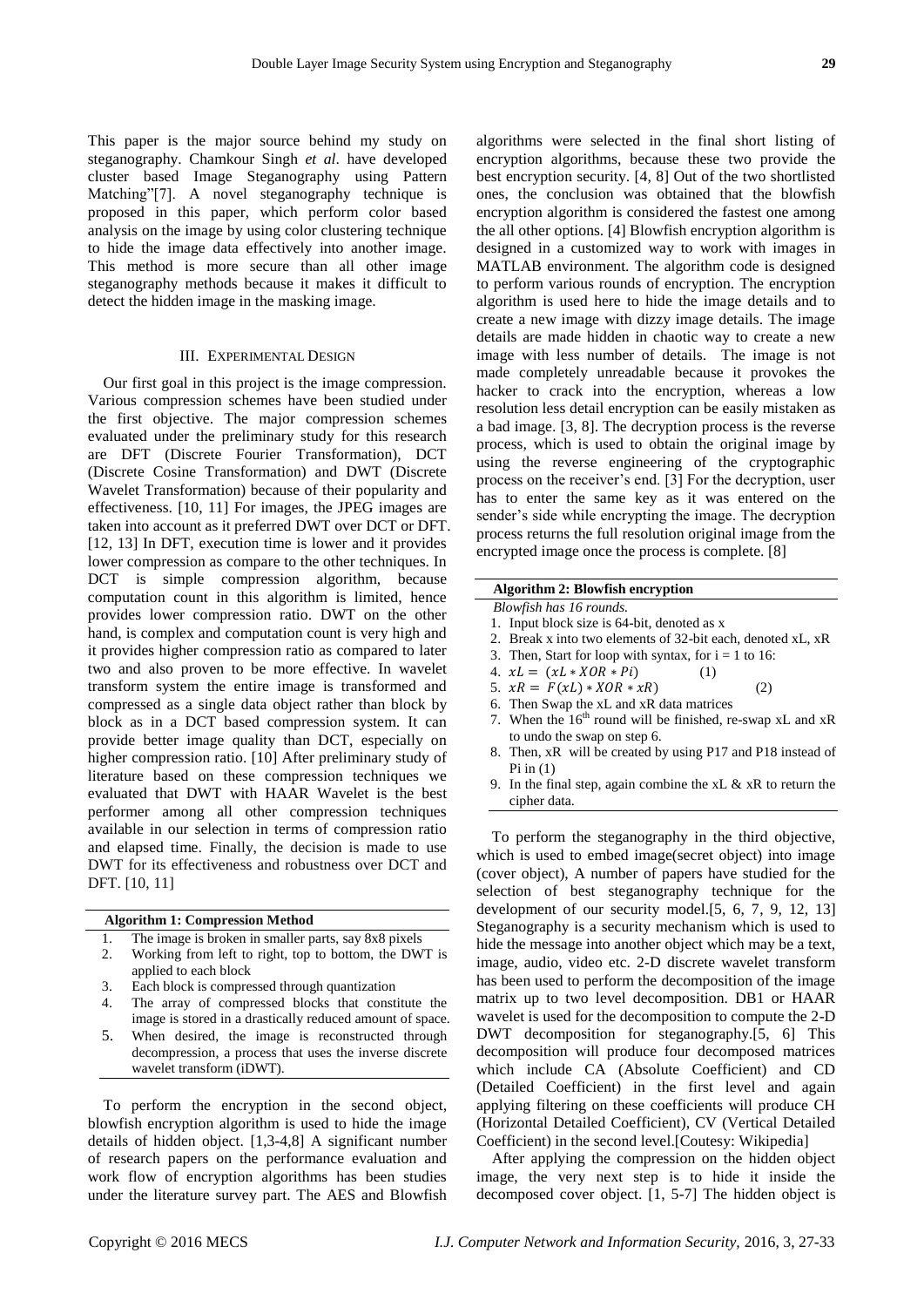This paper is the major source behind my study on steganography. Chamkour Singh *et al*. have developed cluster based Image Steganography using Pattern Matching"[7]. A novel steganography technique is proposed in this paper, which perform color based analysis on the image by using color clustering technique to hide the image data effectively into another image. This method is more secure than all other image steganography methods because it makes it difficult to detect the hidden image in the masking image.

#### III. EXPERIMENTAL DESIGN

Our first goal in this project is the image compression. Various compression schemes have been studied under the first objective. The major compression schemes evaluated under the preliminary study for this research are DFT (Discrete Fourier Transformation), DCT (Discrete Cosine Transformation) and DWT (Discrete Wavelet Transformation) because of their popularity and effectiveness. [10, 11] For images, the JPEG images are taken into account as it preferred DWT over DCT or DFT. [12, 13] In DFT, execution time is lower and it provides lower compression as compare to the other techniques. In DCT is simple compression algorithm, because computation count in this algorithm is limited, hence provides lower compression ratio. DWT on the other hand, is complex and computation count is very high and it provides higher compression ratio as compared to later two and also proven to be more effective. In wavelet transform system the entire image is transformed and compressed as a single data object rather than block by block as in a DCT based compression system. It can provide better image quality than DCT, especially on higher compression ratio. [10] After preliminary study of literature based on these compression techniques we evaluated that DWT with HAAR Wavelet is the best performer among all other compression techniques available in our selection in terms of compression ratio and elapsed time. Finally, the decision is made to use DWT for its effectiveness and robustness over DCT and DFT. [10, 11]

| The image is broken in smaller parts, say 8x8 pixels      |
|-----------------------------------------------------------|
| Working from left to right, top to bottom, the DWT is     |
| applied to each block                                     |
| Each block is compressed through quantization             |
| The array of compressed blocks that constitute the        |
| image is stored in a drastically reduced amount of space. |
| When desired, the image is reconstructed through          |
| decompression, a process that uses the inverse discrete   |
| wavelet transform (iDWT).                                 |

blowfish encryption algorithm is used to hide the image details of hidden object. [1,3-4,8] A significant number of research papers on the performance evaluation and work flow of encryption algorithms has been studies under the literature survey part. The AES and Blowfish

algorithms were selected in the final short listing of encryption algorithms, because these two provide the best encryption security. [4, 8] Out of the two shortlisted ones, the conclusion was obtained that the blowfish encryption algorithm is considered the fastest one among the all other options. [4] Blowfish encryption algorithm is designed in a customized way to work with images in MATLAB environment. The algorithm code is designed to perform various rounds of encryption. The encryption algorithm is used here to hide the image details and to create a new image with dizzy image details. The image details are made hidden in chaotic way to create a new image with less number of details. The image is not made completely unreadable because it provokes the hacker to crack into the encryption, whereas a low resolution less detail encryption can be easily mistaken as a bad image. [3, 8]. The decryption process is the reverse process, which is used to obtain the original image by using the reverse engineering of the cryptographic process on the receiver's end. [3] For the decryption, user has to enter the same key as it was entered on the sender's side while encrypting the image. The decryption process returns the full resolution original image from the encrypted image once the process is complete. [8]

## **Algorithm 2: Blowfish encryption**

*Blowfish has 16 rounds.* 

- 1. Input block size is 64-bit, denoted as x
- 2. Break x into two elements of 32-bit each, denoted xL, xR
- 3. Then, Start for loop with syntax, for  $i = 1$  to 16:
- 4.  $xL = (xL * XOR * Pi)$  (1)
- 5.  $xR = F(xL) * XOR * xR$  (2)
- 6. Then Swap the xL and xR data matrices
- 7. When the  $16<sup>th</sup>$  round will be finished, re-swap xL and xR to undo the swap on step 6.
- 8. Then, xR will be created by using P17 and P18 instead of Pi in  $(1)$
- 9. In the final step, again combine the xL & xR to return the cipher data.

To perform the steganography in the third objective, which is used to embed image(secret object) into image (cover object), A number of papers have studied for the selection of best steganography technique for the elopment of our security model. $[5, 6, 7, 9, 12, 13]$ anography is a security mechanism which is used to the message into another object which may be a text, re, audio, video etc. 2-D discrete wavelet transform been used to perform the decomposition of the image ix up to two level decomposition. DB1 or HAAR elet is used for the decomposition to compute the 2-D T decomposition for steganography.[5, 6] This mposition will produce four decomposed matrices ch include CA (Absolute Coefficient) and CD ailed Coefficient) in the first level and again ying filtering on these coefficients will produce CH (Horizontal Detailed Coefficient), CV (Vertical Detailed Coefficient) in the second level.[Coutesy: Wikipedia]

After applying the compression on the hidden object image, the very next step is to hide it inside the decomposed cover object. [1, 5-7] The hidden object is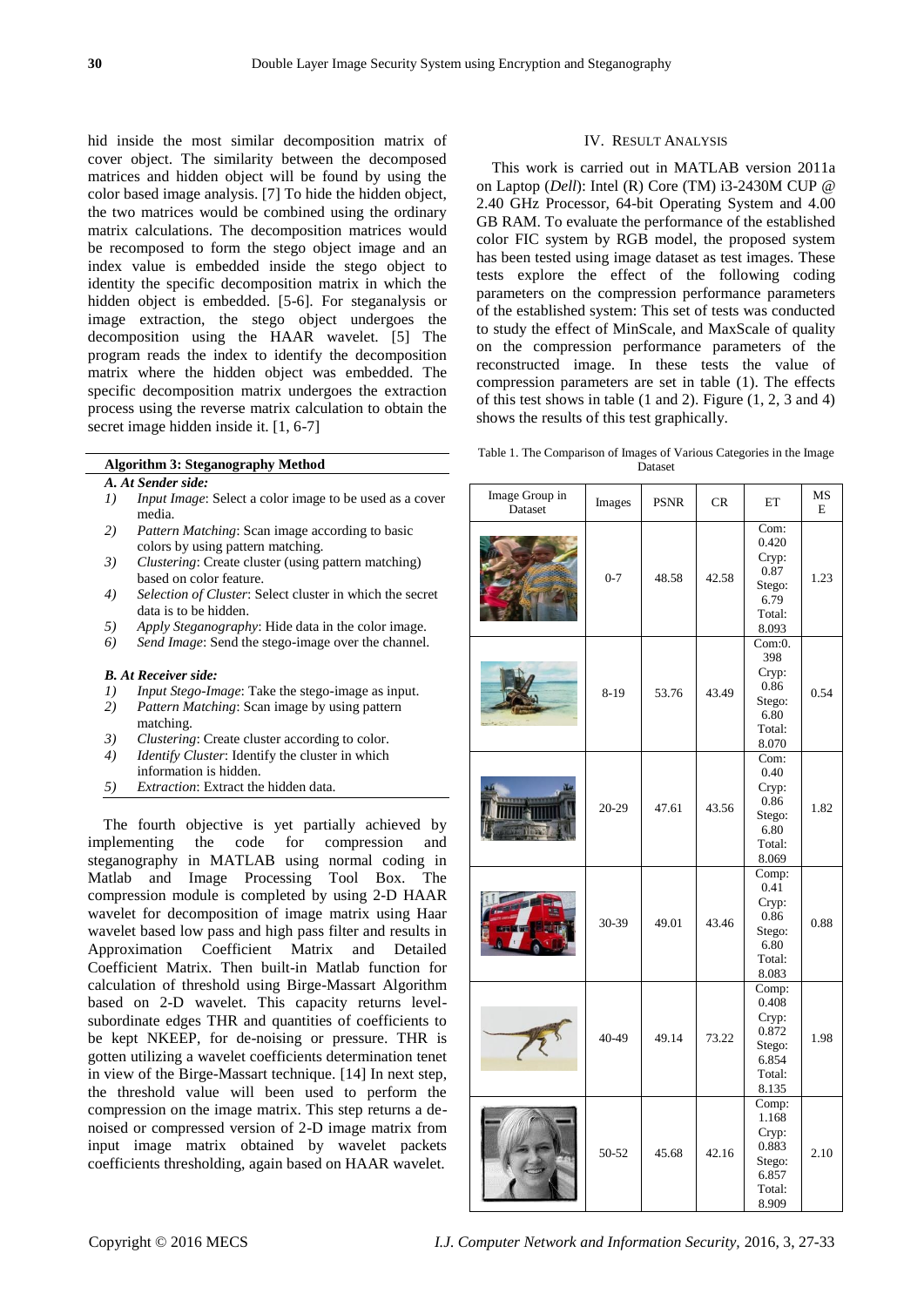hid inside the most similar decomposition matrix of cover object. The similarity between the decomposed matrices and hidden object will be found by using the color based image analysis. [7] To hide the hidden object, the two matrices would be combined using the ordinary matrix calculations. The decomposition matrices would be recomposed to form the stego object image and an index value is embedded inside the stego object to identity the specific decomposition matrix in which the hidden object is embedded. [5-6]. For steganalysis or image extraction, the stego object undergoes the decomposition using the HAAR wavelet. [5] The program reads the index to identify the decomposition matrix where the hidden object was embedded. The specific decomposition matrix undergoes the extraction process using the reverse matrix calculation to obtain the secret image hidden inside it. [1, 6-7]

# **Algorithm 3: Steganography Method**

- *A. At Sender side:*
- *1) Input Image*: Select a color image to be used as a cover media.
- *2) Pattern Matching*: Scan image according to basic colors by using pattern matching.
- *3) Clustering*: Create cluster (using pattern matching) based on color feature.
- *4) Selection of Cluster*: Select cluster in which the secret data is to be hidden.
- *5) Apply Steganography*: Hide data in the color image.
- *6) Send Image*: Send the stego-image over the channel.

#### *B. At Receiver side:*

- *1) Input Stego-Image*: Take the stego-image as input.<br>2) *Pattern Matching*: Scan image by using pattern
- *2) Pattern Matching*: Scan image by using pattern matching.
- *3) Clustering*: Create cluster according to color.
- *4) Identify Cluster*: Identify the cluster in which
- information is hidden.
- *5) Extraction*: Extract the hidden data.

The fourth objective is yet partially achieved by implementing the code for compression and steganography in MATLAB using normal coding in Matlab and Image Processing Tool Box. The compression module is completed by using 2-D HAAR wavelet for decomposition of image matrix using Haar wavelet based low pass and high pass filter and results in Approximation Coefficient Matrix and Detailed Coefficient Matrix. Then built-in Matlab function for calculation of threshold using Birge-Massart Algorithm based on 2-D wavelet. This capacity returns levelsubordinate edges THR and quantities of coefficients to be kept NKEEP, for de-noising or pressure. THR is gotten utilizing a wavelet coefficients determination tenet in view of the Birge-Massart technique. [14] In next step, the threshold value will been used to perform the compression on the image matrix. This step returns a denoised or compressed version of 2-D image matrix from input image matrix obtained by wavelet packets coefficients thresholding, again based on HAAR wavelet.

## IV. RESULT ANALYSIS

This work is carried out in MATLAB version 2011a on Laptop (*Dell*): Intel (R) Core (TM) i3-2430M CUP @ 2.40 GHz Processor, 64-bit Operating System and 4.00 GB RAM. To evaluate the performance of the established color FIC system by RGB model, the proposed system has been tested using image dataset as test images. These tests explore the effect of the following coding parameters on the compression performance parameters of the established system: This set of tests was conducted to study the effect of MinScale, and MaxScale of quality on the compression performance parameters of the reconstructed image. In these tests the value of compression parameters are set in table (1). The effects of this test shows in table (1 and 2). Figure (1, 2, 3 and 4) shows the results of this test graphically.

Table 1. The Comparison of Images of Various Categories in the Image Dataset

| Image Group in<br>Dataset | Images  | <b>PSNR</b> | CR    | ET                                                                     | MS<br>E |
|---------------------------|---------|-------------|-------|------------------------------------------------------------------------|---------|
|                           | $0 - 7$ | 48.58       | 42.58 | Com:<br>0.420<br>Cryp:<br>0.87<br>Stego:<br>6.79<br>Total:<br>8.093    | 1.23    |
|                           | 8-19    | 53.76       | 43.49 | Com:0.<br>398<br>Cryp:<br>0.86<br>Stego:<br>6.80<br>Total:<br>8.070    | 0.54    |
|                           | 20-29   | 47.61       | 43.56 | Com:<br>0.40<br>Cryp:<br>0.86<br>Stego:<br>6.80<br>Total:<br>8.069     | 1.82    |
|                           | 30-39   | 49.01       | 43.46 | Comp:<br>0.41<br>Cryp:<br>0.86<br>Stego:<br>6.80<br>Total:<br>8.083    | 0.88    |
|                           | 40-49   | 49.14       | 73.22 | Comp:<br>0.408<br>Cryp:<br>0.872<br>Stego:<br>6.854<br>Total:<br>8.135 | 1.98    |
|                           | 50-52   | 45.68       | 42.16 | Comp:<br>1.168<br>Cryp:<br>0.883<br>Stego:<br>6.857<br>Total:<br>8.909 | 2.10    |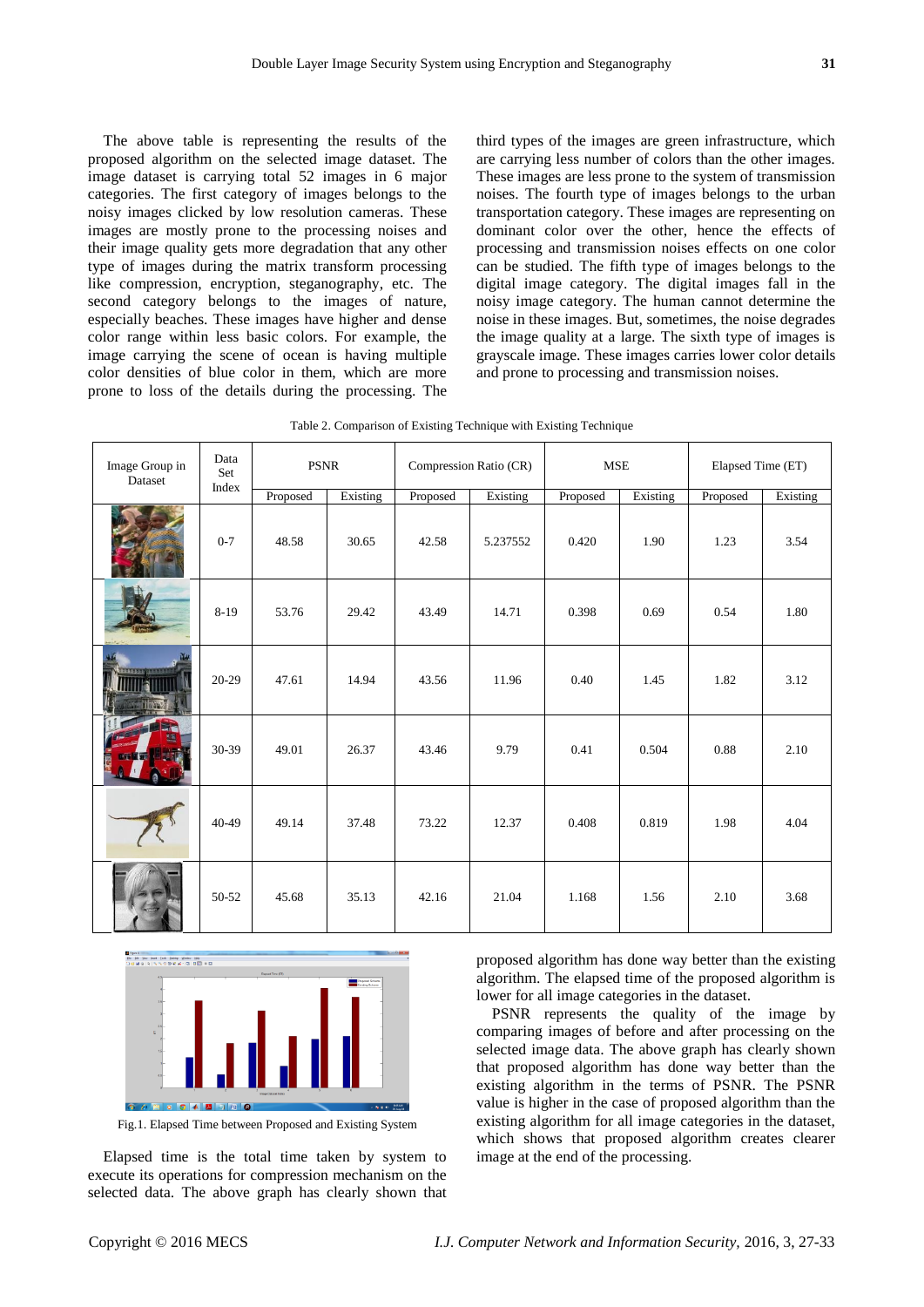The above table is representing the results of the proposed algorithm on the selected image dataset. The image dataset is carrying total 52 images in 6 major categories. The first category of images belongs to the noisy images clicked by low resolution cameras. These images are mostly prone to the processing noises and their image quality gets more degradation that any other type of images during the matrix transform processing like compression, encryption, steganography, etc. The second category belongs to the images of nature, especially beaches. These images have higher and dense color range within less basic colors. For example, the image carrying the scene of ocean is having multiple color densities of blue color in them, which are more prone to loss of the details during the processing. The

third types of the images are green infrastructure, which are carrying less number of colors than the other images. These images are less prone to the system of transmission noises. The fourth type of images belongs to the urban transportation category. These images are representing on dominant color over the other, hence the effects of processing and transmission noises effects on one color can be studied. The fifth type of images belongs to the digital image category. The digital images fall in the noisy image category. The human cannot determine the noise in these images. But, sometimes, the noise degrades the image quality at a large. The sixth type of images is grayscale image. These images carries lower color details and prone to processing and transmission noises.

| Table 2. Comparison of Existing Technique with Existing Technique |  |  |  |  |
|-------------------------------------------------------------------|--|--|--|--|
|-------------------------------------------------------------------|--|--|--|--|

| Image Group in<br>Dataset | Data<br>Set | <b>PSNR</b> | Compression Ratio (CR) |          | <b>MSE</b> |          | Elapsed Time (ET) |          |          |
|---------------------------|-------------|-------------|------------------------|----------|------------|----------|-------------------|----------|----------|
|                           | Index       | Proposed    | Existing               | Proposed | Existing   | Proposed | Existing          | Proposed | Existing |
|                           | $0 - 7$     | 48.58       | 30.65                  | 42.58    | 5.237552   | 0.420    | 1.90              | 1.23     | 3.54     |
|                           | $8 - 19$    | 53.76       | 29.42                  | 43.49    | 14.71      | 0.398    | 0.69              | 0.54     | 1.80     |
| <u>Tresses</u> ienes      | $20-29$     | 47.61       | 14.94                  | 43.56    | 11.96      | 0.40     | 1.45              | 1.82     | 3.12     |
|                           | 30-39       | 49.01       | 26.37                  | 43.46    | 9.79       | 0.41     | 0.504             | 0.88     | 2.10     |
|                           | 40-49       | 49.14       | 37.48                  | 73.22    | 12.37      | 0.408    | 0.819             | 1.98     | 4.04     |
|                           | 50-52       | 45.68       | 35.13                  | 42.16    | 21.04      | 1.168    | 1.56              | 2.10     | 3.68     |



Fig.1. Elapsed Time between Proposed and Existing System

Elapsed time is the total time taken by system to execute its operations for compression mechanism on the selected data. The above graph has clearly shown that proposed algorithm has done way better than the existing algorithm. The elapsed time of the proposed algorithm is lower for all image categories in the dataset.

PSNR represents the quality of the image by comparing images of before and after processing on the selected image data. The above graph has clearly shown that proposed algorithm has done way better than the existing algorithm in the terms of PSNR. The PSNR value is higher in the case of proposed algorithm than the existing algorithm for all image categories in the dataset, which shows that proposed algorithm creates clearer image at the end of the processing.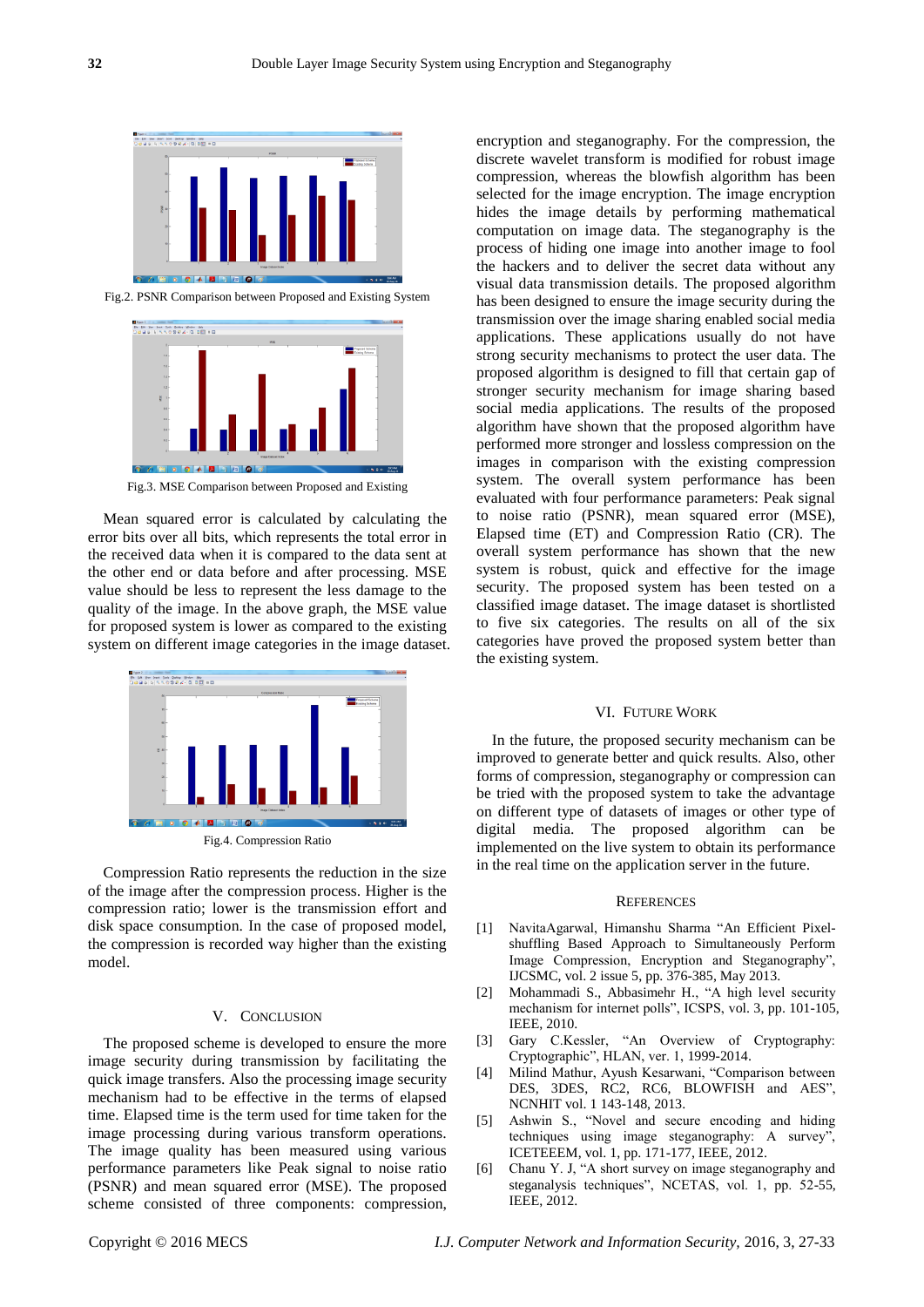

Fig.2. PSNR Comparison between Proposed and Existing System



Fig.3. MSE Comparison between Proposed and Existing

Mean squared error is calculated by calculating the error bits over all bits, which represents the total error in the received data when it is compared to the data sent at the other end or data before and after processing. MSE value should be less to represent the less damage to the quality of the image. In the above graph, the MSE value for proposed system is lower as compared to the existing system on different image categories in the image dataset.



Fig.4. Compression Ratio

Compression Ratio represents the reduction in the size of the image after the compression process. Higher is the compression ratio; lower is the transmission effort and disk space consumption. In the case of proposed model, the compression is recorded way higher than the existing model.

# V. CONCLUSION

The proposed scheme is developed to ensure the more image security during transmission by facilitating the quick image transfers. Also the processing image security mechanism had to be effective in the terms of elapsed time. Elapsed time is the term used for time taken for the image processing during various transform operations. The image quality has been measured using various performance parameters like Peak signal to noise ratio (PSNR) and mean squared error (MSE). The proposed scheme consisted of three components: compression,

encryption and steganography. For the compression, the discrete wavelet transform is modified for robust image compression, whereas the blowfish algorithm has been selected for the image encryption. The image encryption hides the image details by performing mathematical computation on image data. The steganography is the process of hiding one image into another image to fool the hackers and to deliver the secret data without any visual data transmission details. The proposed algorithm has been designed to ensure the image security during the transmission over the image sharing enabled social media applications. These applications usually do not have strong security mechanisms to protect the user data. The proposed algorithm is designed to fill that certain gap of stronger security mechanism for image sharing based social media applications. The results of the proposed algorithm have shown that the proposed algorithm have performed more stronger and lossless compression on the images in comparison with the existing compression system. The overall system performance has been evaluated with four performance parameters: Peak signal to noise ratio (PSNR), mean squared error (MSE), Elapsed time (ET) and Compression Ratio (CR). The overall system performance has shown that the new system is robust, quick and effective for the image security. The proposed system has been tested on a classified image dataset. The image dataset is shortlisted to five six categories. The results on all of the six categories have proved the proposed system better than the existing system.

### VI. FUTURE WORK

In the future, the proposed security mechanism can be improved to generate better and quick results. Also, other forms of compression, steganography or compression can be tried with the proposed system to take the advantage on different type of datasets of images or other type of digital media. The proposed algorithm can be implemented on the live system to obtain its performance in the real time on the application server in the future.

## **REFERENCES**

- [1] NavitaAgarwal, Himanshu Sharma "An Efficient Pixelshuffling Based Approach to Simultaneously Perform Image Compression, Encryption and Steganography", IJCSMC, vol. 2 issue 5, pp. 376-385, May 2013.
- [2] Mohammadi S., Abbasimehr H., "A high level security mechanism for internet polls", ICSPS, vol. 3, pp. 101-105, IEEE, 2010.
- [3] Gary C.Kessler, "An Overview of Cryptography: Cryptographic", HLAN, ver. 1, 1999-2014.
- [4] Milind Mathur, Ayush Kesarwani, "Comparison between DES, 3DES, RC2, RC6, BLOWFISH and AES", NCNHIT vol. 1 143-148, 2013.
- [5] Ashwin S., "Novel and secure encoding and hiding techniques using image steganography: A survey", ICETEEEM, vol. 1, pp. 171-177, IEEE, 2012.
- [6] Chanu Y. J, "A short survey on image steganography and steganalysis techniques", NCETAS, vol. 1, pp. 52-55, IEEE, 2012.